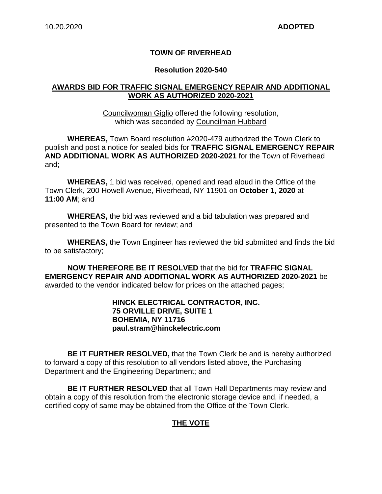## **TOWN OF RIVERHEAD**

#### **Resolution 2020-540**

### **AWARDS BID FOR TRAFFIC SIGNAL EMERGENCY REPAIR AND ADDITIONAL WORK AS AUTHORIZED 2020-2021**

Councilwoman Giglio offered the following resolution, which was seconded by Councilman Hubbard

**WHEREAS,** Town Board resolution #2020-479 authorized the Town Clerk to publish and post a notice for sealed bids for **TRAFFIC SIGNAL EMERGENCY REPAIR AND ADDITIONAL WORK AS AUTHORIZED 2020-2021** for the Town of Riverhead and;

**WHEREAS,** 1 bid was received, opened and read aloud in the Office of the Town Clerk, 200 Howell Avenue, Riverhead, NY 11901 on **October 1, 2020** at **11:00 AM**; and

**WHEREAS,** the bid was reviewed and a bid tabulation was prepared and presented to the Town Board for review; and

**WHEREAS,** the Town Engineer has reviewed the bid submitted and finds the bid to be satisfactory;

**NOW THEREFORE BE IT RESOLVED** that the bid for **TRAFFIC SIGNAL EMERGENCY REPAIR AND ADDITIONAL WORK AS AUTHORIZED 2020-2021** be awarded to the vendor indicated below for prices on the attached pages;

#### **HINCK ELECTRICAL CONTRACTOR, INC. 75 ORVILLE DRIVE, SUITE 1 BOHEMIA, NY 11716 paul.stram@hinckelectric.com**

**BE IT FURTHER RESOLVED,** that the Town Clerk be and is hereby authorized to forward a copy of this resolution to all vendors listed above, the Purchasing Department and the Engineering Department; and

**BE IT FURTHER RESOLVED** that all Town Hall Departments may review and obtain a copy of this resolution from the electronic storage device and, if needed, a certified copy of same may be obtained from the Office of the Town Clerk.

## **THE VOTE**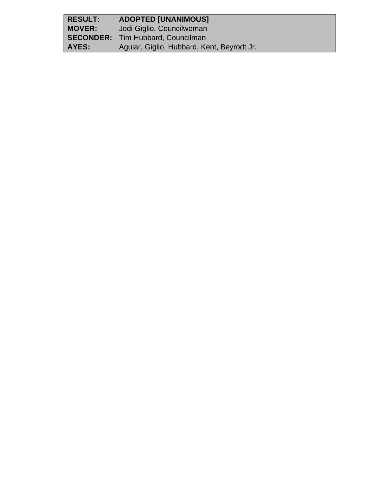| <b>RESULT:</b> | <b>ADOPTED [UNANIMOUS]</b>                 |
|----------------|--------------------------------------------|
| <b>MOVER:</b>  | Jodi Giglio, Councilwoman                  |
|                | <b>SECONDER:</b> Tim Hubbard, Councilman   |
| AYES:          | Aguiar, Giglio, Hubbard, Kent, Beyrodt Jr. |